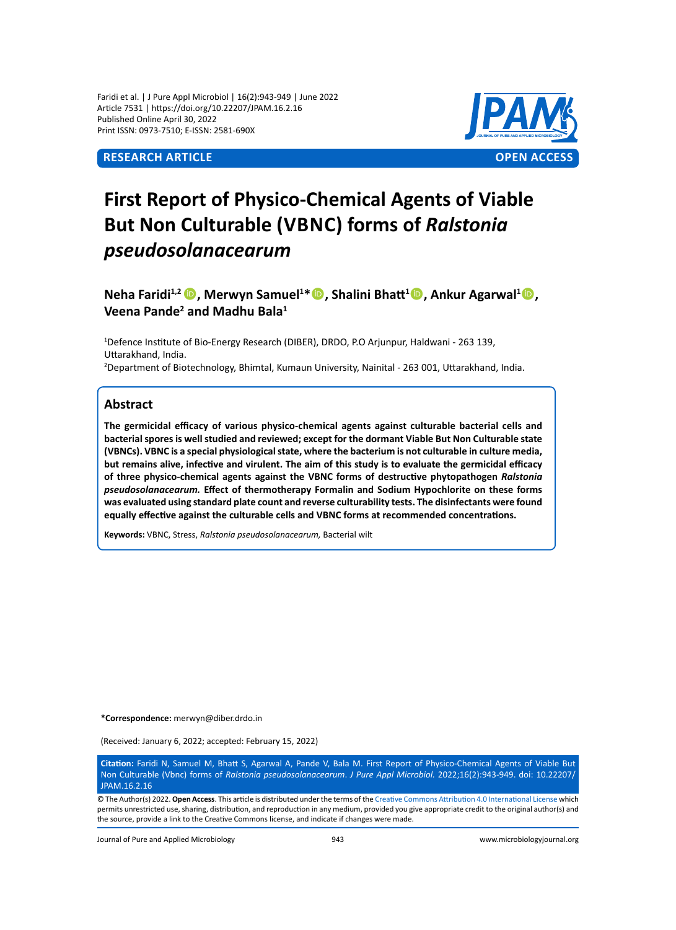Faridi et al. | J Pure Appl Microbiol | 16(2):943-949 | June 2022 Article 7531 | https://doi.org/10.22207/JPAM.16.2.16 Published Online April 30, 2022 Print ISSN: 0973-7510; E-ISSN: 2581-690X



# **First Report of Physico-Chemical Agents of Viable But Non Culturable (Vbnc) forms of** *Ralstonia pseudosolanacearum*

**Neha Faridi<sup>1,2</sup> <b>D**, Merwyn Samuel<sup>1\*</sup> D, Shalini Bhatt<sup>1</sup>D, Ankur Agarwal<sup>1</sup>D, Veena Pande<sup>2</sup> and Madhu Bala<sup>1</sup>

1 Defence Institute of Bio-Energy Research (DIBER), DRDO, P.O Arjunpur, Haldwani - 263 139, Uttarakhand, India.

2 Department of Biotechnology, Bhimtal, Kumaun University, Nainital - 263 001, Uttarakhand, India.

# **Abstract**

**The germicidal efficacy of various physico-chemical agents against culturable bacterial cells and bacterial spores is well studied and reviewed; except for the dormant Viable But Non Culturable state (VBNCs). VBNC is a special physiological state, where the bacterium is not culturable in culture media, but remains alive, infective and virulent. The aim of this study is to evaluate the germicidal efficacy of three physico-chemical agents against the VBNC forms of destructive phytopathogen** *Ralstonia pseudosolanacearum.* **Effect of thermotherapy Formalin and Sodium Hypochlorite on these forms was evaluated using standard plate count and reverse culturability tests. The disinfectants were found equally effective against the culturable cells and VBNC forms at recommended concentrations.**

**Keywords:** VBNC, Stress, *Ralstonia pseudosolanacearum,* Bacterial wilt

**\*Correspondence:** merwyn@diber.drdo.in

(Received: January 6, 2022; accepted: February 15, 2022)

**Citation:** Faridi N, Samuel M, Bhatt S, Agarwal A, Pande V, Bala M. First Report of Physico-Chemical Agents of Viable But Non Culturable (Vbnc) forms of *Ralstonia pseudosolanacearum*. *J Pure Appl Microbiol.* 2022;16(2):943-949. doi: 10.22207/ JPAM.16.2.16

© The Author(s) 2022. **Open Access**. This article is distributed under the terms of the [Creative Commons Attribution 4.0 International License](https://creativecommons.org/licenses/by/4.0/) which permits unrestricted use, sharing, distribution, and reproduction in any medium, provided you give appropriate credit to the original author(s) and the source, provide a link to the Creative Commons license, and indicate if changes were made.

Journal of Pure and Applied Microbiology 943 www.microbiologyjournal.org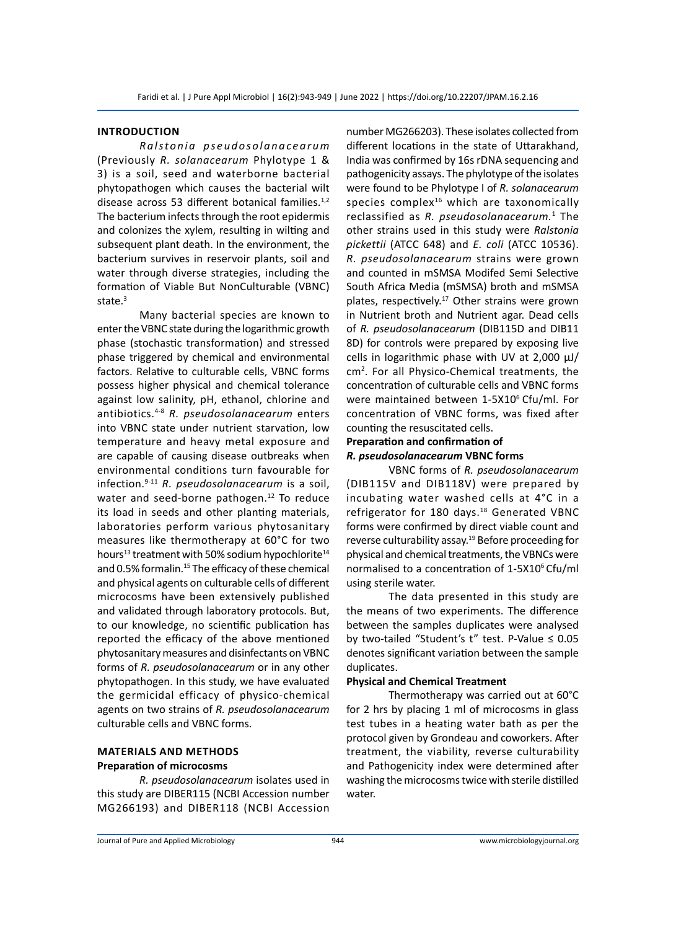# **Introduction**

*Ralstonia pseudosolanacearum* (Previously *R. solanacearum* Phylotype 1 & 3) is a soil, seed and waterborne bacterial phytopathogen which causes the bacterial wilt disease across 53 different botanical families. $1,2$ The bacterium infects through the root epidermis and colonizes the xylem, resulting in wilting and subsequent plant death. In the environment, the bacterium survives in reservoir plants, soil and water through diverse strategies, including the formation of Viable But NonCulturable (VBNC) state. $3$ 

Many bacterial species are known to enter the VBNC state during the logarithmic growth phase (stochastic transformation) and stressed phase triggered by chemical and environmental factors. Relative to culturable cells, VBNC forms possess higher physical and chemical tolerance against low salinity, pH, ethanol, chlorine and antibiotics.4-8 *R. pseudosolanacearum* enters into VBNC state under nutrient starvation, low temperature and heavy metal exposure and are capable of causing disease outbreaks when environmental conditions turn favourable for infection.9-11 *R. pseudosolanacearum* is a soil, water and seed-borne pathogen.<sup>12</sup> To reduce its load in seeds and other planting materials, laboratories perform various phytosanitary measures like thermotherapy at 60°C for two hours<sup>13</sup> treatment with 50% sodium hypochlorite<sup>14</sup> and 0.5% formalin.<sup>15</sup> The efficacy of these chemical and physical agents on culturable cells of different microcosms have been extensively published and validated through laboratory protocols. But, to our knowledge, no scientific publication has reported the efficacy of the above mentioned phytosanitary measures and disinfectants on VBNC forms of *R. pseudosolanacearum* or in any other phytopathogen. In this study, we have evaluated the germicidal efficacy of physico-chemical agents on two strains of *R. pseudosolanacearum* culturable cells and VBNC forms.

# **Materials and Methods Preparation of microcosms**

*R. pseudosolanacearum* isolates used in this study are DIBER115 (NCBI Accession number MG266193) and DIBER118 (NCBI Accession number MG266203). These isolates collected from different locations in the state of Uttarakhand, India was confirmed by 16s rDNA sequencing and pathogenicity assays. The phylotype of the isolates were found to be Phylotype I of *R. solanacearum* species complex<sup>16</sup> which are taxonomically reclassified as *R. pseudosolanacearum.*<sup>1</sup> The other strains used in this study were *Ralstonia pickettii* (ATCC 648) and *E. coli* (ATCC 10536). *R. pseudosolanacearum* strains were grown and counted in mSMSA Modifed Semi Selective South Africa Media (mSMSA) broth and mSMSA plates, respectively.<sup>17</sup> Other strains were grown in Nutrient broth and Nutrient agar. Dead cells of *R. pseudosolanacearum* (DIB115D and DIB11 8D) for controls were prepared by exposing live cells in logarithmic phase with UV at  $2,000 \mu$ J/ cm2 . For all Physico-Chemical treatments, the concentration of culturable cells and VBNC forms were maintained between 1-5X10<sup>6</sup> Cfu/ml. For concentration of VBNC forms, was fixed after counting the resuscitated cells.

# **Preparation and confirmation of**  *R. pseudosolanacearum* **VBNC forms**

VBNC forms of *R. pseudosolanacearum* (DIB115V and DIB118V) were prepared by incubating water washed cells at 4°C in a refrigerator for 180 days.<sup>18</sup> Generated VBNC forms were confirmed by direct viable count and reverse culturability assay.<sup>19</sup> Before proceeding for physical and chemical treatments, the VBNCs were normalised to a concentration of 1-5X10<sup>6</sup>Cfu/ml using sterile water.

The data presented in this study are the means of two experiments. The difference between the samples duplicates were analysed by two-tailed "Student's t" test. P-Value ≤ 0.05 denotes significant variation between the sample duplicates.

#### **Physical and Chemical Treatment**

Thermotherapy was carried out at 60°C for 2 hrs by placing 1 ml of microcosms in glass test tubes in a heating water bath as per the protocol given by Grondeau and coworkers. After treatment, the viability, reverse culturability and Pathogenicity index were determined after washing the microcosms twice with sterile distilled water.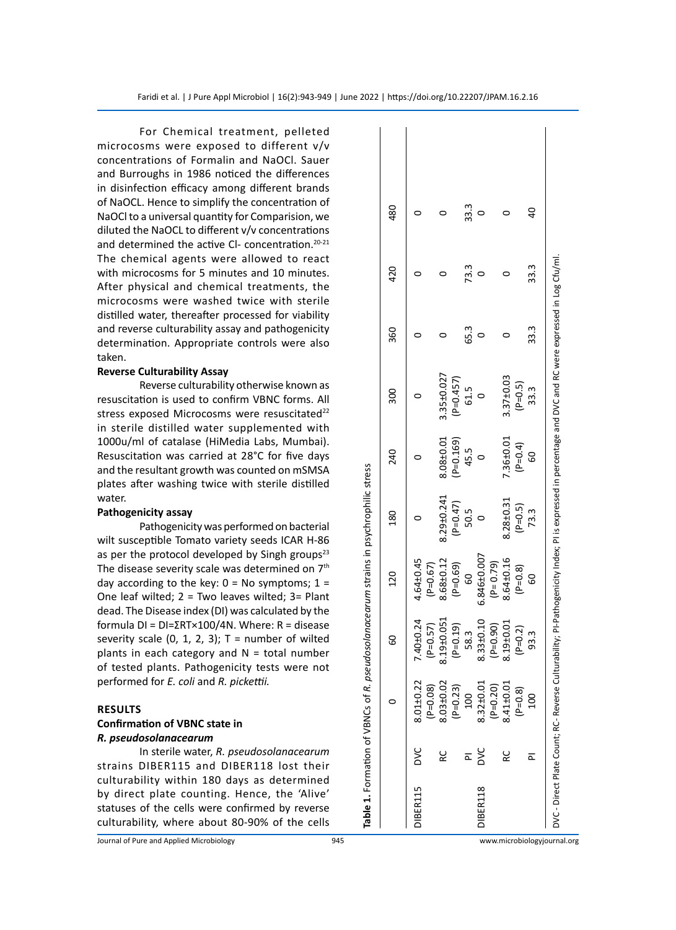For Chemical treatment, pelleted microcosms were exposed to different v/v concentrations of Formalin and NaOCl. Sauer and Burroughs in 1986 noticed the differences in disinfection efficacy among different brands of NaOCL. Hence to simplify the concentration of NaOCl to a universal quantity for Comparision, we diluted the NaOCL to different v/v concentrations and determined the active CI- concentration.<sup>20-21</sup> The chemical agents were allowed to react with microcosms for 5 minutes and 10 minutes. After physical and chemical treatments, the microcosms were washed twice with sterile distilled water, thereafter processed for viability and reverse culturability assay and pathogenicity determination. Appropriate controls were also taken.

# **Reverse Culturability Assay**

Reverse culturability otherwise known as resuscitation is used to confirm VBNC forms. All stress exposed Microcosms were resuscitated<sup>22</sup> in sterile distilled water supplemented with 1000u/ml of catalase (HiMedia Labs, Mumbai). Resuscitation was carried at 28°C for five days and the resultant growth was counted on mSMSA plates after washing twice with sterile distilled water.

# **Pathogenicity assay**

Pathogenicity was performed on bacterial wilt susceptible Tomato variety seeds ICAR H-86 as per the protocol developed by Singh groups<sup>23</sup> The disease severity scale was determined on 7<sup>th</sup> day according to the key:  $0 = No$  symptoms;  $1 =$ One leaf wilted; 2 = Two leaves wilted; 3= Plant dead. The Disease index (DI) was calculated by the formula DI = DI=ΣRT×100/4N. Where: R = disease severity scale  $(0, 1, 2, 3)$ ; T = number of wilted plants in each category and  $N =$  total number of tested plants. Pathogenicity tests were not performed for *E. coli* and *R. pickettii.*

# **Results**

# **Confirmation of VBNC state in**  *R. pseudosolanacearum*

In sterile water, *R. pseudosolanacearum* strains DIBER115 and DIBER118 lost their culturability within 180 days as determined by direct plate counting. Hence, the 'Alive' statuses of the cells were confirmed by reverse culturability, where about 80-90% of the cells

|          |         |                         |                             | Table 1. Formation of VBNCs of R. pseudosolanacearum strains in psychrophilic stress |                    |             |                                                                                                                                                        |      |      |      |  |
|----------|---------|-------------------------|-----------------------------|--------------------------------------------------------------------------------------|--------------------|-------------|--------------------------------------------------------------------------------------------------------------------------------------------------------|------|------|------|--|
|          |         |                         | 8                           | 120                                                                                  | 180                | 240         | ន្ល                                                                                                                                                    | 360  | 420  | 480  |  |
| DIBER115 | DVC     | 8.01±0.22<br>$(P=0.08)$ | 40±0.24<br>P=0.57)          | 4.64±0.45<br>$(P=0.67)$                                                              |                    |             |                                                                                                                                                        |      |      |      |  |
|          | 0<br>RC | 8.03±0.02               | .19 <sub>±0.051</sub><br>∞ं | 8.68±0.12                                                                            | 8.29±0.241         | 8.08±0.01   | 3.35±0.027                                                                                                                                             |      |      |      |  |
|          |         | $(P=0.23)$              | $(P=0.19)$                  | $(P=0.69)$                                                                           |                    | $(P=0.169)$ | $(P=0.457)$                                                                                                                                            |      |      |      |  |
|          |         | 100                     | 58.3                        | 8                                                                                    | $(P=0.47)$<br>50.5 | 45.5        | 61.5                                                                                                                                                   | 65.3 | 73.3 | 33.3 |  |
| DIBER118 | š       | 8.32±0.01               | 3.33±0.10                   | 6.846±0.007                                                                          |                    |             |                                                                                                                                                        |      |      |      |  |
|          |         | $(P=0.20)$              | $(P=0.90)$                  | $(P = 0.79)$                                                                         |                    |             |                                                                                                                                                        |      |      |      |  |
|          | ں<br>R  | 8.41±0.01               | $.19 + 0.01$                | 8.64±0.16                                                                            | 8.28±0.31          | 7.36±0.01   | $3.37 \pm 0.03$                                                                                                                                        |      |      |      |  |
|          |         | $(P=0.8)$               | $(P=0.2)$                   | $(P=0.8)$                                                                            | $(P=0.5)$          | $(P=0.4)$   | $(P=0.5)$                                                                                                                                              |      |      |      |  |
|          |         | 100                     | 93.3                        | 8                                                                                    | 73.3               | 60          | 33.3                                                                                                                                                   | 33.3 | 33.3 | dd   |  |
|          |         |                         |                             |                                                                                      |                    |             | DVC - Direct Plate Count; RC- Reverse Culturability; PI-Pathogenicity Index; PI is expressed in percentage and DVC and RC were expressed in Log Cfu/ml |      |      |      |  |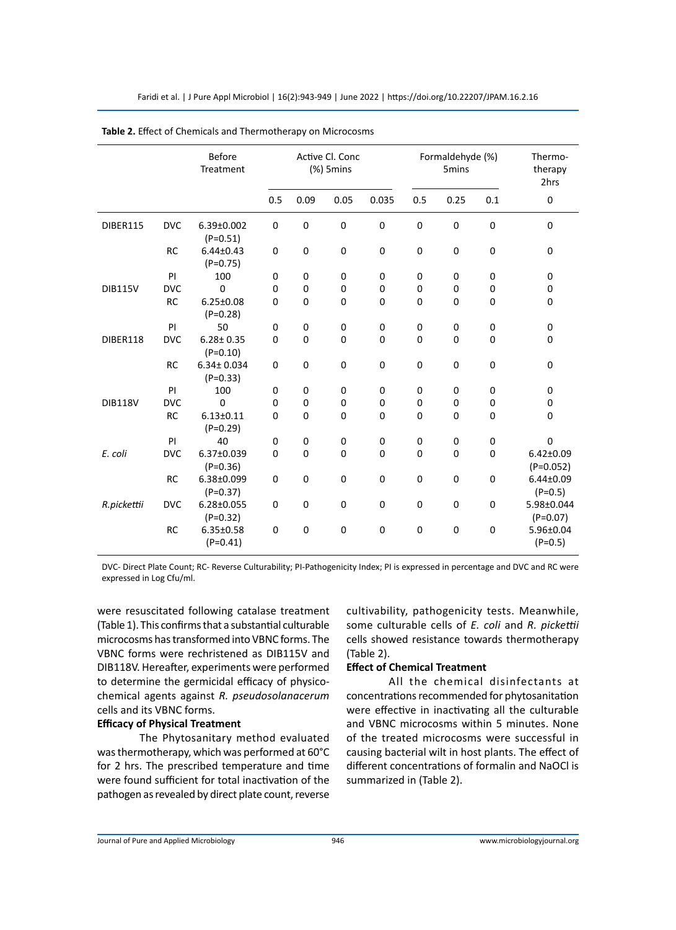| Before<br>Active Cl. Conc<br>Formaldehyde (%)<br>Thermo-<br>$(% )$ 5mins<br>Treatment<br>5mins<br>therapy<br>2hrs<br>0.5<br>0.09<br>0.035<br>0.25<br>$\pmb{0}$<br>0.05<br>0.5<br>0.1<br>$\pmb{0}$<br><b>DVC</b><br>0<br>0<br>0<br>0<br>0<br>$\mathsf 0$<br>0<br><b>DIBER115</b><br>6.39±0.002<br>$(P=0.51)$<br><b>RC</b><br>$6.44 \pm 0.43$<br>0<br>0<br>0<br>0<br>0<br>$\mathsf 0$<br>0<br>0<br>$(P=0.75)$<br>PI<br>100<br>0<br>0<br>0<br>0<br>0<br>0<br>0<br>0<br>$\Omega$<br><b>DVC</b><br>0<br>0<br>0<br><b>DIB115V</b><br>0<br>0<br>0<br>0<br>0<br><b>RC</b><br>$\mathbf 0$<br>$\mathbf 0$<br>$6.25 \pm 0.08$<br>0<br>0<br>0<br>0<br>0<br>0<br>$(P=0.28)$<br>PI<br>50<br>0<br>$\mathbf 0$<br>$\pmb{0}$<br>$\pmb{0}$<br>$\mathbf 0$<br>0<br>0<br>0<br><b>DVC</b><br>DIBER118<br>$6.28 \pm 0.35$<br>$\Omega$<br>0<br>0<br>0<br>0<br>0<br>$\Omega$<br>0<br>$(P=0.10)$<br>$\pmb{0}$<br><b>RC</b><br>$6.34 \pm 0.034$<br>0<br>0<br>0<br>0<br>0<br>0<br>0<br>$(P=0.33)$<br>PI<br>100<br>0<br>0<br>0<br>0<br>0<br>0<br>0<br>0<br><b>DVC</b><br>$\Omega$<br><b>DIB118V</b><br>0<br>0<br>0<br>0<br>0<br>0<br>0<br>0<br><b>RC</b><br>$6.13 \pm 0.11$<br>$\mathbf 0$<br>$\mathbf 0$<br>0<br>0<br>0<br>0<br>$\mathsf 0$<br>0<br>$(P=0.29)$<br>$\mathsf 0$<br>PI<br>40<br>0<br>$\mathbf 0$<br>$\pmb{0}$<br>$\pmb{0}$<br>0<br>0<br>0<br>$\mathbf 0$<br><b>DVC</b><br>$\mathbf 0$<br>$\mathbf 0$<br>E. coli<br>6.37±0.039<br>0<br>0<br>$\mathbf 0$<br>0<br>$6.42 \pm 0.09$<br>$(P=0.36)$<br>$(P=0.052)$<br><b>RC</b><br>0<br>$\pmb{0}$<br>$\mathbf 0$<br>$\mathbf 0$<br>6.38±0.099<br>0<br>0<br>0<br>$6.44 \pm 0.09$<br>$(P=0.5)$<br>$(P=0.37)$<br>$\pmb{0}$<br>0<br>$\pmb{0}$<br>$\mathbf 0$<br>6.28±0.055<br>0<br>0<br>0<br>5.98±0.044<br>R.pickettii<br><b>DVC</b><br>$(P=0.32)$<br>$(P=0.07)$<br>$\pmb{0}$<br>$\pmb{0}$<br><b>RC</b><br>$6.35 \pm 0.58$<br>0<br>0<br>0<br>0<br>$\mathsf 0$<br>5.96±0.04<br>$(P=0.41)$<br>$(P=0.5)$ | <b>Table 2.</b> Effect of Chemicals and Thermotherapy on Microcosins |  |  |  |  |  |  |  |  |  |  |
|------------------------------------------------------------------------------------------------------------------------------------------------------------------------------------------------------------------------------------------------------------------------------------------------------------------------------------------------------------------------------------------------------------------------------------------------------------------------------------------------------------------------------------------------------------------------------------------------------------------------------------------------------------------------------------------------------------------------------------------------------------------------------------------------------------------------------------------------------------------------------------------------------------------------------------------------------------------------------------------------------------------------------------------------------------------------------------------------------------------------------------------------------------------------------------------------------------------------------------------------------------------------------------------------------------------------------------------------------------------------------------------------------------------------------------------------------------------------------------------------------------------------------------------------------------------------------------------------------------------------------------------------------------------------------------------------------------------------------------------------------------------------------------------------------------------------------------------------------------------------------------------------------------------------------|----------------------------------------------------------------------|--|--|--|--|--|--|--|--|--|--|
|                                                                                                                                                                                                                                                                                                                                                                                                                                                                                                                                                                                                                                                                                                                                                                                                                                                                                                                                                                                                                                                                                                                                                                                                                                                                                                                                                                                                                                                                                                                                                                                                                                                                                                                                                                                                                                                                                                                              |                                                                      |  |  |  |  |  |  |  |  |  |  |
|                                                                                                                                                                                                                                                                                                                                                                                                                                                                                                                                                                                                                                                                                                                                                                                                                                                                                                                                                                                                                                                                                                                                                                                                                                                                                                                                                                                                                                                                                                                                                                                                                                                                                                                                                                                                                                                                                                                              |                                                                      |  |  |  |  |  |  |  |  |  |  |
|                                                                                                                                                                                                                                                                                                                                                                                                                                                                                                                                                                                                                                                                                                                                                                                                                                                                                                                                                                                                                                                                                                                                                                                                                                                                                                                                                                                                                                                                                                                                                                                                                                                                                                                                                                                                                                                                                                                              |                                                                      |  |  |  |  |  |  |  |  |  |  |
|                                                                                                                                                                                                                                                                                                                                                                                                                                                                                                                                                                                                                                                                                                                                                                                                                                                                                                                                                                                                                                                                                                                                                                                                                                                                                                                                                                                                                                                                                                                                                                                                                                                                                                                                                                                                                                                                                                                              |                                                                      |  |  |  |  |  |  |  |  |  |  |
|                                                                                                                                                                                                                                                                                                                                                                                                                                                                                                                                                                                                                                                                                                                                                                                                                                                                                                                                                                                                                                                                                                                                                                                                                                                                                                                                                                                                                                                                                                                                                                                                                                                                                                                                                                                                                                                                                                                              |                                                                      |  |  |  |  |  |  |  |  |  |  |
|                                                                                                                                                                                                                                                                                                                                                                                                                                                                                                                                                                                                                                                                                                                                                                                                                                                                                                                                                                                                                                                                                                                                                                                                                                                                                                                                                                                                                                                                                                                                                                                                                                                                                                                                                                                                                                                                                                                              |                                                                      |  |  |  |  |  |  |  |  |  |  |
|                                                                                                                                                                                                                                                                                                                                                                                                                                                                                                                                                                                                                                                                                                                                                                                                                                                                                                                                                                                                                                                                                                                                                                                                                                                                                                                                                                                                                                                                                                                                                                                                                                                                                                                                                                                                                                                                                                                              |                                                                      |  |  |  |  |  |  |  |  |  |  |
|                                                                                                                                                                                                                                                                                                                                                                                                                                                                                                                                                                                                                                                                                                                                                                                                                                                                                                                                                                                                                                                                                                                                                                                                                                                                                                                                                                                                                                                                                                                                                                                                                                                                                                                                                                                                                                                                                                                              |                                                                      |  |  |  |  |  |  |  |  |  |  |
|                                                                                                                                                                                                                                                                                                                                                                                                                                                                                                                                                                                                                                                                                                                                                                                                                                                                                                                                                                                                                                                                                                                                                                                                                                                                                                                                                                                                                                                                                                                                                                                                                                                                                                                                                                                                                                                                                                                              |                                                                      |  |  |  |  |  |  |  |  |  |  |
|                                                                                                                                                                                                                                                                                                                                                                                                                                                                                                                                                                                                                                                                                                                                                                                                                                                                                                                                                                                                                                                                                                                                                                                                                                                                                                                                                                                                                                                                                                                                                                                                                                                                                                                                                                                                                                                                                                                              |                                                                      |  |  |  |  |  |  |  |  |  |  |
|                                                                                                                                                                                                                                                                                                                                                                                                                                                                                                                                                                                                                                                                                                                                                                                                                                                                                                                                                                                                                                                                                                                                                                                                                                                                                                                                                                                                                                                                                                                                                                                                                                                                                                                                                                                                                                                                                                                              |                                                                      |  |  |  |  |  |  |  |  |  |  |
|                                                                                                                                                                                                                                                                                                                                                                                                                                                                                                                                                                                                                                                                                                                                                                                                                                                                                                                                                                                                                                                                                                                                                                                                                                                                                                                                                                                                                                                                                                                                                                                                                                                                                                                                                                                                                                                                                                                              |                                                                      |  |  |  |  |  |  |  |  |  |  |
|                                                                                                                                                                                                                                                                                                                                                                                                                                                                                                                                                                                                                                                                                                                                                                                                                                                                                                                                                                                                                                                                                                                                                                                                                                                                                                                                                                                                                                                                                                                                                                                                                                                                                                                                                                                                                                                                                                                              |                                                                      |  |  |  |  |  |  |  |  |  |  |
|                                                                                                                                                                                                                                                                                                                                                                                                                                                                                                                                                                                                                                                                                                                                                                                                                                                                                                                                                                                                                                                                                                                                                                                                                                                                                                                                                                                                                                                                                                                                                                                                                                                                                                                                                                                                                                                                                                                              |                                                                      |  |  |  |  |  |  |  |  |  |  |
|                                                                                                                                                                                                                                                                                                                                                                                                                                                                                                                                                                                                                                                                                                                                                                                                                                                                                                                                                                                                                                                                                                                                                                                                                                                                                                                                                                                                                                                                                                                                                                                                                                                                                                                                                                                                                                                                                                                              |                                                                      |  |  |  |  |  |  |  |  |  |  |
|                                                                                                                                                                                                                                                                                                                                                                                                                                                                                                                                                                                                                                                                                                                                                                                                                                                                                                                                                                                                                                                                                                                                                                                                                                                                                                                                                                                                                                                                                                                                                                                                                                                                                                                                                                                                                                                                                                                              |                                                                      |  |  |  |  |  |  |  |  |  |  |
|                                                                                                                                                                                                                                                                                                                                                                                                                                                                                                                                                                                                                                                                                                                                                                                                                                                                                                                                                                                                                                                                                                                                                                                                                                                                                                                                                                                                                                                                                                                                                                                                                                                                                                                                                                                                                                                                                                                              |                                                                      |  |  |  |  |  |  |  |  |  |  |
|                                                                                                                                                                                                                                                                                                                                                                                                                                                                                                                                                                                                                                                                                                                                                                                                                                                                                                                                                                                                                                                                                                                                                                                                                                                                                                                                                                                                                                                                                                                                                                                                                                                                                                                                                                                                                                                                                                                              |                                                                      |  |  |  |  |  |  |  |  |  |  |

Faridi et al. | J Pure Appl Microbiol | 16(2):943-949 | June 2022 | https://doi.org/10.22207/JPAM.16.2.16

**Table 2.** Effect of Chemicals and Thermotherapy on Microcosms

DVC- Direct Plate Count; RC- Reverse Culturability; PI-Pathogenicity Index; PI is expressed in percentage and DVC and RC were expressed in Log Cfu/ml.

were resuscitated following catalase treatment (Table 1). This confirms that a substantial culturable microcosms has transformed into VBNC forms. The VBNC forms were rechristened as DIB115V and DIB118V. Hereafter, experiments were performed to determine the germicidal efficacy of physicochemical agents against *R. pseudosolanacerum*  cells and its VBNC forms.

# **Efficacy of Physical Treatment**

The Phytosanitary method evaluated was thermotherapy, which was performed at 60°C for 2 hrs. The prescribed temperature and time were found sufficient for total inactivation of the pathogen as revealed by direct plate count, reverse

cultivability, pathogenicity tests. Meanwhile, some culturable cells of *E. coli* and *R. pickettii* cells showed resistance towards thermotherapy (Table 2).

# **Effect of Chemical Treatment**

All the chemical disinfectants at concentrations recommended for phytosanitation were effective in inactivating all the culturable and VBNC microcosms within 5 minutes. None of the treated microcosms were successful in causing bacterial wilt in host plants. The effect of different concentrations of formalin and NaOCl is summarized in (Table 2).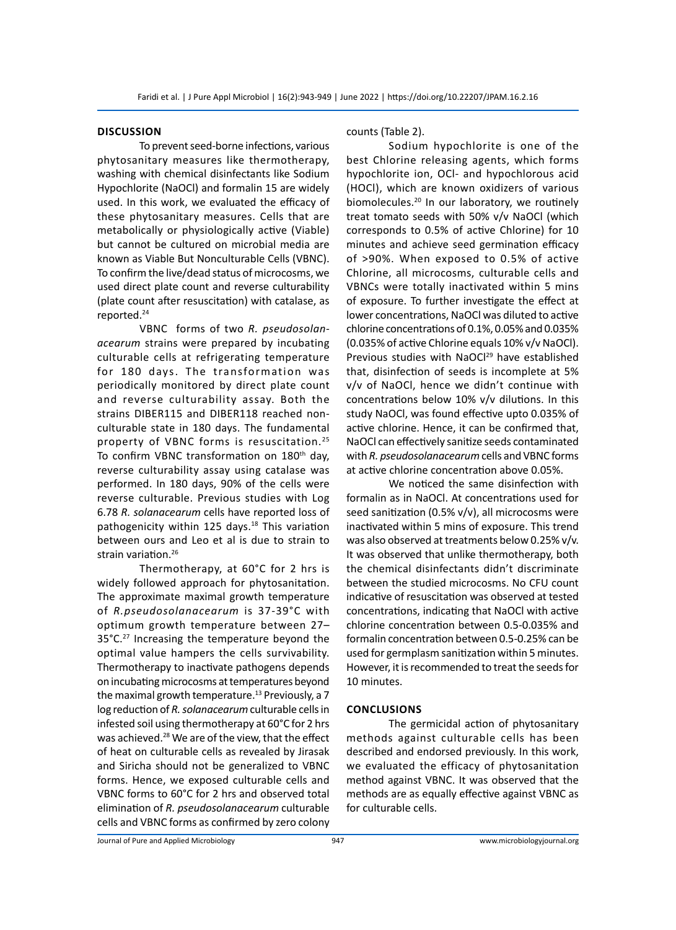# **Discussion**

To prevent seed-borne infections, various phytosanitary measures like thermotherapy, washing with chemical disinfectants like Sodium Hypochlorite (NaOCl) and formalin 15 are widely used. In this work, we evaluated the efficacy of these phytosanitary measures. Cells that are metabolically or physiologically active (Viable) but cannot be cultured on microbial media are known as Viable But Nonculturable Cells (VBNC). To confirm the live/dead status of microcosms, we used direct plate count and reverse culturability (plate count after resuscitation) with catalase, as reported.24

VBNC forms of two *R. pseudosolanacearum* strains were prepared by incubating culturable cells at refrigerating temperature for 180 days. The transformation was periodically monitored by direct plate count and reverse culturability assay. Both the strains DIBER115 and DIBER118 reached nonculturable state in 180 days. The fundamental property of VBNC forms is resuscitation.<sup>25</sup> To confirm VBNC transformation on 180<sup>th</sup> day, reverse culturability assay using catalase was performed. In 180 days, 90% of the cells were reverse culturable. Previous studies with Log 6.78 *R. solanacearum* cells have reported loss of pathogenicity within 125 days. $18$  This variation between ours and Leo et al is due to strain to strain variation.<sup>26</sup>

Thermotherapy, at 60°C for 2 hrs is widely followed approach for phytosanitation. The approximate maximal growth temperature of *R.pseudosolanacearum* is 37-39°C with optimum growth temperature between 27– 35°C.<sup>27</sup> Increasing the temperature beyond the optimal value hampers the cells survivability. Thermotherapy to inactivate pathogens depends on incubating microcosms at temperatures beyond the maximal growth temperature.<sup>13</sup> Previously, a 7 log reduction of *R. solanacearum* culturable cells in infested soil using thermotherapy at 60°C for 2 hrs was achieved.<sup>28</sup> We are of the view, that the effect of heat on culturable cells as revealed by Jirasak and Siricha should not be generalized to VBNC forms. Hence, we exposed culturable cells and VBNC forms to 60°C for 2 hrs and observed total elimination of *R. pseudosolanacearum* culturable cells and VBNC forms as confirmed by zero colony counts (Table 2).

Sodium hypochlorite is one of the best Chlorine releasing agents, which forms hypochlorite ion, OCl- and hypochlorous acid (HOCl), which are known oxidizers of various biomolecules.<sup>20</sup> In our laboratory, we routinely treat tomato seeds with 50% v/v NaOCl (which corresponds to 0.5% of active Chlorine) for 10 minutes and achieve seed germination efficacy of >90%. When exposed to 0.5% of active Chlorine, all microcosms, culturable cells and VBNCs were totally inactivated within 5 mins of exposure. To further investigate the effect at lower concentrations, NaOCl was diluted to active chlorine concentrations of 0.1%, 0.05% and 0.035% (0.035% of active Chlorine equals 10% v/v NaOCl). Previous studies with NaOCl<sup>29</sup> have established that, disinfection of seeds is incomplete at 5% v/v of NaOCl, hence we didn't continue with concentrations below 10% v/v dilutions. In this study NaOCl, was found effective upto 0.035% of active chlorine. Hence, it can be confirmed that, NaOCl can effectively sanitize seeds contaminated with *R. pseudosolanacearum* cells and VBNC forms at active chlorine concentration above 0.05%.

We noticed the same disinfection with formalin as in NaOCl. At concentrations used for seed sanitization (0.5% v/v), all microcosms were inactivated within 5 mins of exposure. This trend was also observed at treatments below 0.25% v/v. It was observed that unlike thermotherapy, both the chemical disinfectants didn't discriminate between the studied microcosms. No CFU count indicative of resuscitation was observed at tested concentrations, indicating that NaOCl with active chlorine concentration between 0.5-0.035% and formalin concentration between 0.5-0.25% can be used for germplasm sanitization within 5 minutes. However, it is recommended to treat the seeds for 10 minutes.

# **Conclusions**

The germicidal action of phytosanitary methods against culturable cells has been described and endorsed previously. In this work, we evaluated the efficacy of phytosanitation method against VBNC. It was observed that the methods are as equally effective against VBNC as for culturable cells.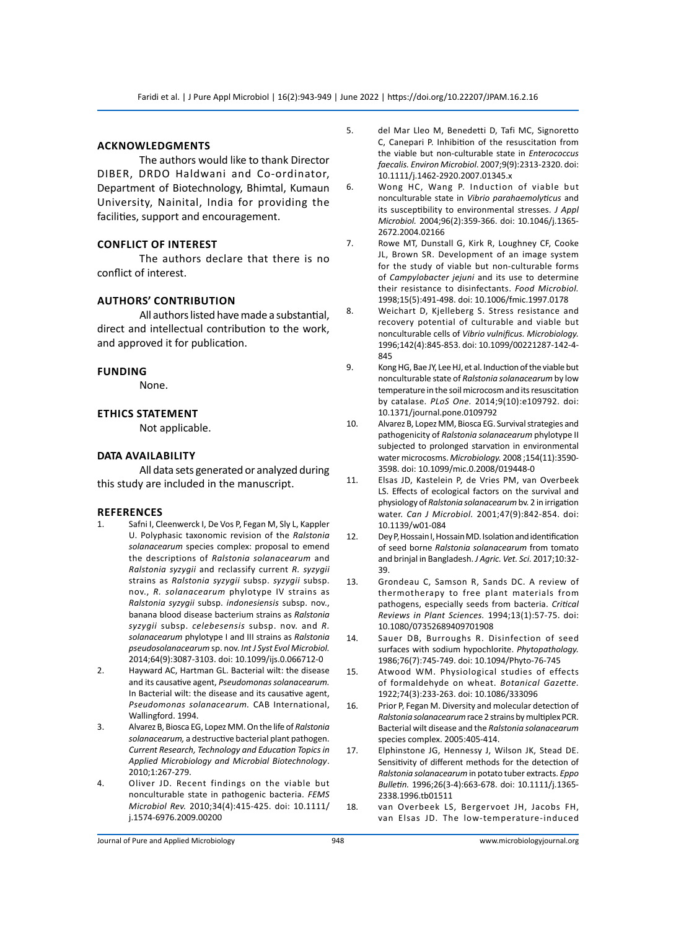# **Acknowledgments**

The authors would like to thank Director DIBER, DRDO Haldwani and Co-ordinator, Department of Biotechnology, Bhimtal, Kumaun University, Nainital, India for providing the facilities, support and encouragement.

## **Conflict of interest**

The authors declare that there is no conflict of interest.

### **Authors' Contribution**

All authors listed have made a substantial, direct and intellectual contribution to the work, and approved it for publication.

## **Funding**

None.

# **Ethics Statement**

Not applicable.

## **DATA Availability**

All data sets generated or analyzed during this study are included in the manuscript.

### **References**

- 1. Safni I, Cleenwerck I, De Vos P, Fegan M, Sly L, Kappler U. Polyphasic taxonomic revision of the *Ralstonia solanacearum* species complex: proposal to emend the descriptions of *Ralstonia solanacearum* and *Ralstonia syzygii* and reclassify current *R. syzygii* strains as *Ralstonia syzygii* subsp. *syzygii* subsp. nov., *R. solanacearum* phylotype IV strains as *Ralstonia syzygii* subsp. *indonesiensis* subsp. nov., banana blood disease bacterium strains as *Ralstonia syzygii* subsp. *celebesensis* subsp. nov. and *R. solanacearum* phylotype I and III strains as *Ralstonia pseudosolanacearum* sp. nov. *Int J Syst Evol Microbiol.*  2014;64(9):3087-3103. doi: 10.1099/ijs.0.066712-0
- 2. Hayward AC, Hartman GL. Bacterial wilt: the disease and its causative agent, *Pseudomonas solanacearum.*  In Bacterial wilt: the disease and its causative agent, *Pseudomonas solanacearum.* CAB International, Wallingford. 1994.
- 3. Alvarez B, Biosca EG, Lopez MM. On the life of *Ralstonia solanacearum,* a destructive bacterial plant pathogen. *Current Research, Technology and Education Topics in Applied Microbiology and Microbial Biotechnology*. 2010;1:267-279.
- 4. Oliver JD. Recent findings on the viable but nonculturable state in pathogenic bacteria. *FEMS Microbiol Rev.* 2010;34(4):415-425. doi: 10.1111/ j.1574-6976.2009.00200
- 5. del Mar Lleo M, Benedetti D, Tafi MC, Signoretto C, Canepari P. Inhibition of the resuscitation from the viable but non‐culturable state in *Enterococcus faecalis. Environ Microbiol*. 2007;9(9):2313-2320. doi: 10.1111/j.1462-2920.2007.01345.x
- 6. Wong HC, Wang P. Induction of viable but nonculturable state in *Vibrio parahaemolyticus* and its susceptibility to environmental stresses. *J Appl Microbiol.* 2004;96(2):359-366. doi: 10.1046/j.1365- 2672.2004.02166
- 7. Rowe MT, Dunstall G, Kirk R, Loughney CF, Cooke JL, Brown SR. Development of an image system for the study of viable but non-culturable forms of *Campylobacter jejuni* and its use to determine their resistance to disinfectants. *Food Microbiol.*  1998;15(5):491-498. doi: 10.1006/fmic.1997.0178
- 8. Weichart D, Kjelleberg S. Stress resistance and recovery potential of culturable and viable but nonculturable cells of *Vibrio vulnificus. Microbiology.*  1996;142(4):845-853. doi: 10.1099/00221287-142-4- 845
- 9. Kong HG, Bae JY, Lee HJ, et al. Induction of the viable but nonculturable state of *Ralstonia solanacearum* by low temperature in the soil microcosm and its resuscitation by catalase. *PLoS One.* 2014;9(10):e109792. doi: 10.1371/journal.pone.0109792
- 10. Alvarez B, Lopez MM, Biosca EG. Survival strategies and pathogenicity of *Ralstonia solanacearum* phylotype II subjected to prolonged starvation in environmental water microcosms. *Microbiology.* 2008 ;154(11):3590- 3598. doi: 10.1099/mic.0.2008/019448-0
- 11. Elsas JD, Kastelein P, de Vries PM, van Overbeek LS. Effects of ecological factors on the survival and physiology of *Ralstonia solanacearum* bv. 2 in irrigation water. *Can J Microbiol.* 2001;47(9):842-854. doi: 10.1139/w01-084
- 12. Dey P, Hossain I, Hossain MD. Isolation and identification of seed borne *Ralstonia solanacearum* from tomato and brinjal in Bangladesh. *J Agric. Vet. Sci.* 2017;10:32- 39.
- 13. Grondeau C, Samson R, Sands DC. A review of thermotherapy to free plant materials from pathogens, especially seeds from bacteria. *Critical Reviews in Plant Sciences.* 1994;13(1):57-75. doi: 10.1080/07352689409701908
- 14. Sauer DB, Burroughs R. Disinfection of seed surfaces with sodium hypochlorite. *Phytopathology.* 1986;76(7):745-749. doi: 10.1094/Phyto-76-745
- 15. Atwood WM. Physiological studies of effects of formaldehyde on wheat. *Botanical Gazette.*  1922;74(3):233-263. doi: 10.1086/333096
- 16. Prior P, Fegan M. Diversity and molecular detection of *Ralstonia solanacearum* race 2 strains by multiplex PCR. Bacterial wilt disease and the *Ralstonia solanacearum*  species complex. 2005:405-414.
- 17. Elphinstone JG, Hennessy J, Wilson JK, Stead DE. Sensitivity of different methods for the detection of *Ralstonia solanacearum* in potato tuber extracts. *Eppo Bulletin.* 1996;26(3‐4):663-678. doi: 10.1111/j.1365- 2338.1996.tb01511
- 18. van Overbeek LS, Bergervoet JH, Jacobs FH, van Elsas JD. The low-temperature-induced